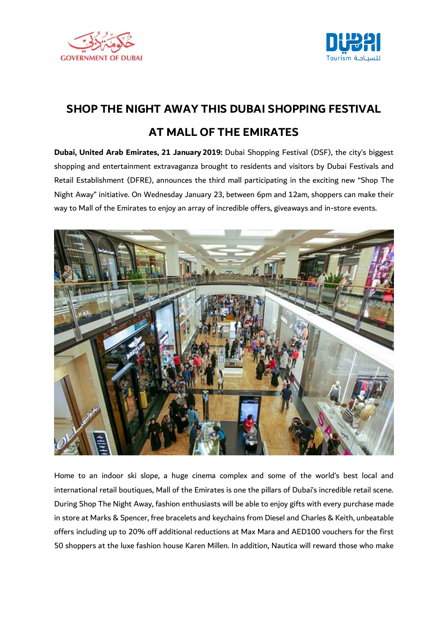



## **SHOP THE NIGHT AWAY THIS DUBAI SHOPPING FESTIVAL AT MALL OF THE EMIRATES**

**Dubai, United Arab Emirates, 21 January 2019:** Dubai Shopping Festival (DSF), the city's biggest shopping and entertainment extravaganza brought to residents and visitors by Dubai Festivals and Retail Establishment (DFRE), announces the third mall participating in the exciting new "Shop The Night Away" initiative. On Wednesday January 23, between 6pm and 12am, shoppers can make their way to Mall of the Emirates to enjoy an array of incredible offers, giveaways and in-store events.



Home to an indoor ski slope, a huge cinema complex and some of the world's best local and international retail boutiques, Mall of the Emirates is one the pillars of Dubai's incredible retail scene. During Shop The Night Away, fashion enthusiasts will be able to enjoy gifts with every purchase made in store at Marks & Spencer, free bracelets and keychains from Diesel and Charles & Keith, unbeatable offers including up to 20% off additional reductions at Max Mara and AED100 vouchers for the first 50 shoppers at the luxe fashion house Karen Millen. In addition, Nautica will reward those who make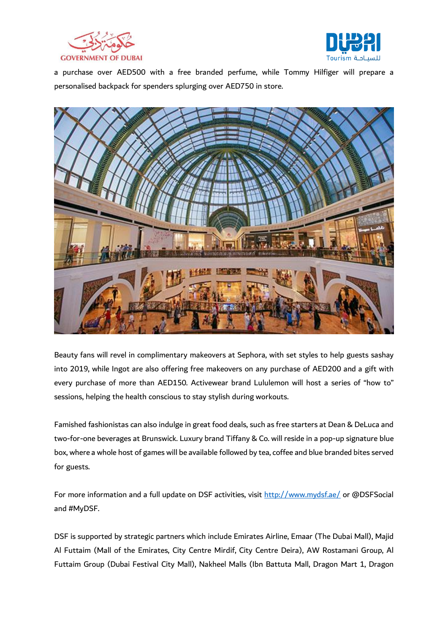



a purchase over AED500 with a free branded perfume, while Tommy Hilfiger will prepare a personalised backpack for spenders splurging over AED750 in store.



Beauty fans will revel in complimentary makeovers at Sephora, with set styles to help guests sashay into 2019, while Ingot are also offering free makeovers on any purchase of AED200 and a gift with every purchase of more than AED150. Activewear brand Lululemon will host a series of "how to" sessions, helping the health conscious to stay stylish during workouts.

Famished fashionistas can also indulge in great food deals, such as free starters at Dean & DeLuca and two-for-one beverages at Brunswick. Luxury brand Tiffany & Co. will reside in a pop-up signature blue box, where a whole host of games will be available followed by tea, coffee and blue branded bites served for guests.

For more information and a full update on DSF activities, visit <http://www.mydsf.ae/> or @DSFSocial and #MyDSF.

DSF is supported by strategic partners which include Emirates Airline, Emaar (The Dubai Mall), Majid Al Futtaim (Mall of the Emirates, City Centre Mirdif, City Centre Deira), AW Rostamani Group, Al Futtaim Group (Dubai Festival City Mall), Nakheel Malls (Ibn Battuta Mall, Dragon Mart 1, Dragon